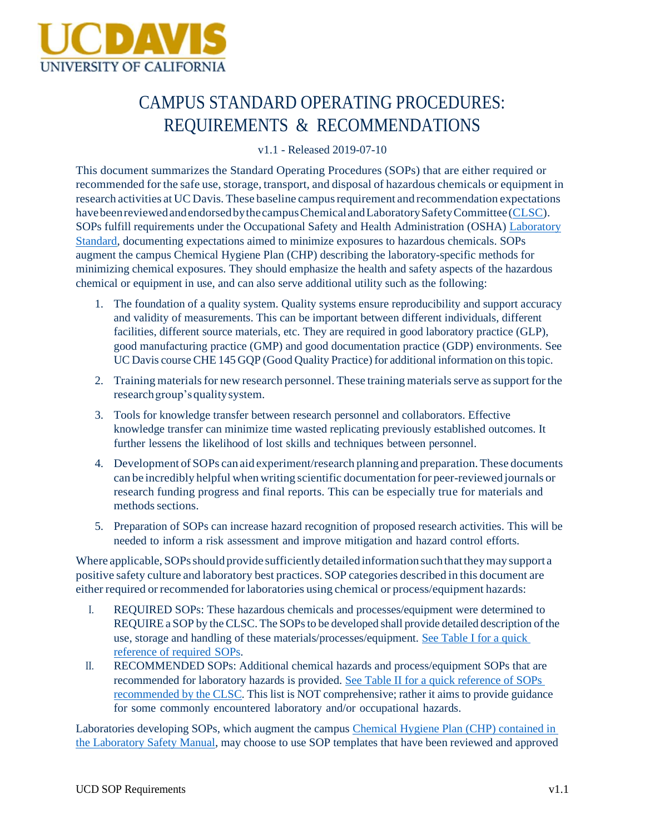

# CAMPUS STANDARD OPERATING PROCEDURES: REQUIREMENTS & RECOMMENDATIONS

v1.1 - Released 2019-07-10

This document summarizes the Standard Operating Procedures (SOPs) that are either required or recommended for the safe use, storage, transport, and disposal of hazardous chemicals or equipment in research activities at UC Davis. These baseline campusrequirement and recommendation expectations havebeenreviewedandendorsedbythecampusChemicalandLaboratorySafetyCommittee(CLSC). SOPs fulfill requirements under the Occupational Safety and Health Administration (OSHA) Laboratory Standard, documenting expectations aimed to minimize exposures to hazardous chemicals. SOPs augment the campus Chemical Hygiene Plan (CHP) describing the laboratory-specific methods for minimizing chemical exposures. They should emphasize the health and safety aspects of the hazardous chemical or equipment in use, and can also serve additional utility such as the following:

- 1. The foundation of a quality system. Quality systems ensure reproducibility and support accuracy and validity of measurements. This can be important between different individuals, different facilities, different source materials, etc. They are required in good laboratory practice (GLP), good manufacturing practice (GMP) and good documentation practice (GDP) environments. See UC Davis course CHE 145 GQP (Good Quality Practice) for additional information on this topic.
- 2. Training materials for new research personnel. These training materials serve as support for the researchgroup'squalitysystem.
- 3. Tools for knowledge transfer between research personnel and collaborators. Effective knowledge transfer can minimize time wasted replicating previously established outcomes. It further lessens the likelihood of lost skills and techniques between personnel.
- 4. Development of SOPs can aid experiment/research planning and preparation.These documents can be incredibly helpful when writing scientific documentation for peer-reviewed journals or research funding progress and final reports. This can be especially true for materials and methods sections.
- 5. Preparation of SOPs can increase hazard recognition of proposed research activities. This will be needed to inform a risk assessment and improve mitigation and hazard control efforts.

Where applicable, SOPs should provide sufficiently detailed information such that they may support a positive safety culture and laboratory best practices. SOP categories described in this document are either required or recommended for laboratories using chemical or process/equipment hazards:

- I. REQUIRED SOPs: These hazardous chemicals and processes/equipment were determined to REQUIRE a SOP by the CLSC. The SOPs to be developed shall provide detailed description of the use, storage and handling of these materials/processes/equipment. See Table I for a quick reference of required SOPs.
- II. RECOMMENDED SOPs: Additional chemical hazards and process/equipment SOPs that are recommended for laboratory hazards is provided. See Table II for a quick reference of SOPs recommended by the CLSC. This list is NOT comprehensive; rather it aims to provide guidance for some commonly encountered laboratory and/or occupational hazards.

Laboratories developing SOPs, which augment the campus Chemical Hygiene Plan (CHP) contained in the Laboratory Safety Manual, may choose to use SOP templates that have been reviewed and approved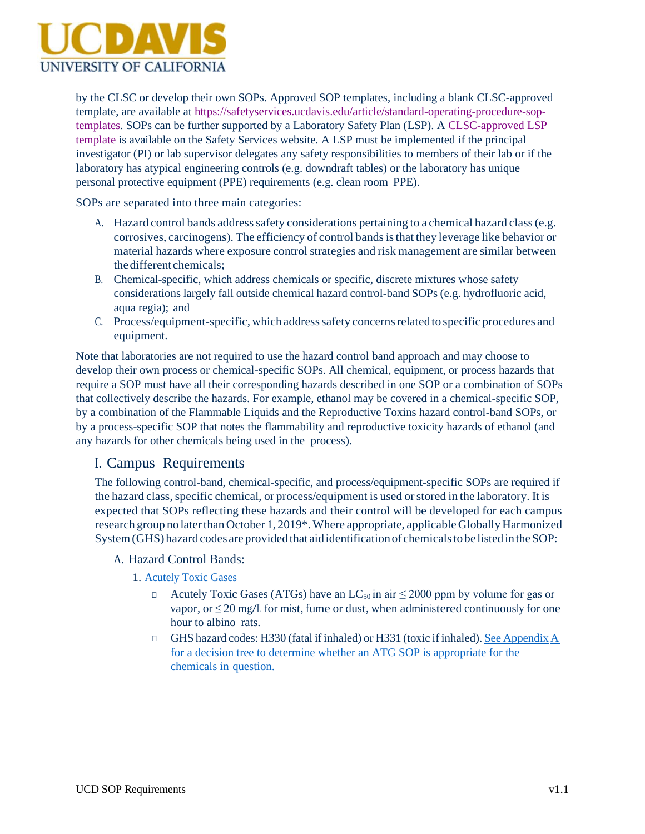

by the CLSC or develop their own SOPs. Approved SOP templates, including a blank CLSC-approved template, are available at [https://safetyservices.ucdavis.edu/article/standard-operating-procedure-sop](https://safetyservices.ucdavis.edu/article/standard-operating-procedure-sop-templates)[templates.](https://safetyservices.ucdavis.edu/article/standard-operating-procedure-sop-templates) SOPs can be further supported by a Laboratory Safety Plan (LSP). A [CLSC-approved LSP](https://safetyservices.ucdavis.edu/article/laboratory-safety-plan) [template](https://safetyservices.ucdavis.edu/article/laboratory-safety-plan) is available on the Safety Services website. A LSP must be implemented if the principal investigator (PI) or lab supervisor delegates any safety responsibilities to members of their lab or if the laboratory has atypical engineering controls (e.g. downdraft tables) or the laboratory has unique personal protective equipment (PPE) requirements (e.g. clean room PPE).

SOPs are separated into three main categories:

- A. Hazard control bands address safety considerations pertaining to a chemical hazard class (e.g. corrosives, carcinogens). The efficiency of control bandsisthat they leverage like behavior or material hazards where exposure control strategies and risk management are similar between thedifferent chemicals;
- B. Chemical-specific, which address chemicals or specific, discrete mixtures whose safety considerations largely fall outside chemical hazard control-band SOPs (e.g. hydrofluoric acid, aqua regia); and
- C. Process/equipment-specific, which addresssafety concernsrelated to specific procedures and equipment.

Note that laboratories are not required to use the hazard control band approach and may choose to develop their own process or chemical-specific SOPs. All chemical, equipment, or process hazards that require a SOP must have all their corresponding hazards described in one SOP or a combination of SOPs that collectively describe the hazards. For example, ethanol may be covered in a chemical-specific SOP, by a combination of the Flammable Liquids and the Reproductive Toxins hazard control-band SOPs, or by a process-specific SOP that notes the flammability and reproductive toxicity hazards of ethanol (and any hazards for other chemicals being used in the process).

## I. Campus Requirements

The following control-band, chemical-specific, and process/equipment-specific SOPs are required if the hazard class, specific chemical, or process/equipment is used or stored in the laboratory. It is expected that SOPs reflecting these hazards and their control will be developed for each campus research group no later than October 1, 2019\*. Where appropriate, applicable Globally Harmonized System (GHS) hazard codes are provided that aid identification of chemicals to be listed in the SOP:

#### A. Hazard Control Bands:

1. Acutely Toxic Gases

- □ Acutely Toxic Gases (ATGs) have an LC<sub>50</sub> in air  $\leq$  2000 ppm by volume for gas or vapor, or  $\leq$  20 mg/L for mist, fume or dust, when administered continuously for one hour to albino rats.
- □ GHS hazard codes: H330 (fatal if inhaled) or H331 (toxic if inhaled). See Appendix A for a decision tree to determine whether an ATG SOP is appropriate for the chemicals in question.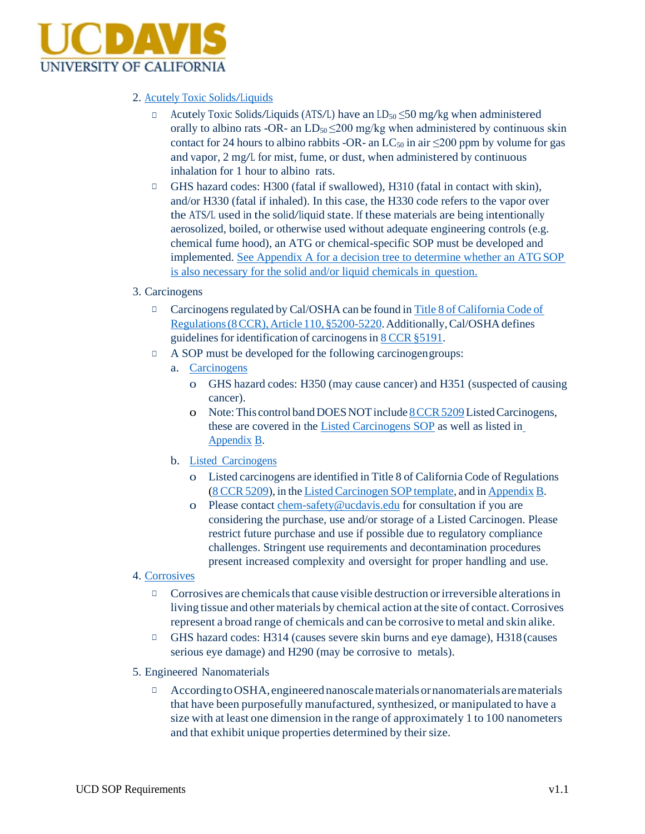

#### 2. Acutely Toxic Solids/Liquids

- $\Box$  Acutely Toxic Solids/Liquids (ATS/L) have an LD<sub>50</sub>  $\leq$ 50 mg/kg when administered orally to albino rats -OR- an  $LD_{50} \leq 200$  mg/kg when administered by continuous skin contact for 24 hours to albino rabbits -OR- an  $LC_{50}$  in air  $\leq 200$  ppm by volume for gas and vapor, 2 mg/L for mist, fume, or dust, when administered by continuous inhalation for 1 hour to albino rats.
- □ GHS hazard codes: H300 (fatal if swallowed), H310 (fatal in contact with skin), and/or H330 (fatal if inhaled). In this case, the H330 code refers to the vapor over the ATS/L used in the solid/liquid state. If these materials are being intentionally aerosolized, boiled, or otherwise used without adequate engineering controls (e.g. chemical fume hood), an ATG or chemical-specific SOP must be developed and implemented. See Appendix A for a decision tree to determine whether an ATGSOP is also necessary for the solid and/or liquid chemicals in question.

#### 3. Carcinogens

- □ Carcinogens regulated by Cal/OSHA can be found in Title 8 of California Code of Regulations (8 CCR), Article 110, §5200-5220. Additionally, Cal/OSHA defines guidelines for identification of carcinogens in 8 CCR §5191.
- □ A SOP must be developed for the following carcinogengroups:
	- a. Carcinogens
		- o GHS hazard codes: H350 (may cause cancer) and H351 (suspected of causing cancer).
		- o Note:This control bandDOESNOTinclude 8CCR5209ListedCarcinogens, these are covered in the Listed Carcinogens SOP as well as listed in Appendix B.
	- b. Listed Carcinogens
		- o Listed carcinogens are identified in Title 8 of California Code of Regulations (8 CCR5209), in the ListedCarcinogen SOP template, and in Appendix B.
		- o Please contact [chem-safety@ucdavis.edu](mailto:chem-safety@ucdavis.edu) for consultation if you are considering the purchase, use and/or storage of a Listed Carcinogen. Please restrict future purchase and use if possible due to regulatory compliance challenges. Stringent use requirements and decontamination procedures present increased complexity and oversight for proper handling and use.
- 4. Corrosives
	- $\Box$  Corrosives are chemicals that cause visible destruction or irreversible alterations in living tissue and other materials by chemical action at the site of contact. Corrosives represent a broad range of chemicals and can be corrosive to metal and skin alike.
	- □ GHS hazard codes: H314 (causes severe skin burns and eye damage), H318 (causes serious eye damage) and H290 (may be corrosive to metals).
- 5. Engineered Nanomaterials
	- $\Box$  According to OSHA, engineered nanoscale materials or nanomaterials are materials that have been purposefully manufactured, synthesized, or manipulated to have a size with at least one dimension in the range of approximately 1 to 100 nanometers and that exhibit unique properties determined by their size.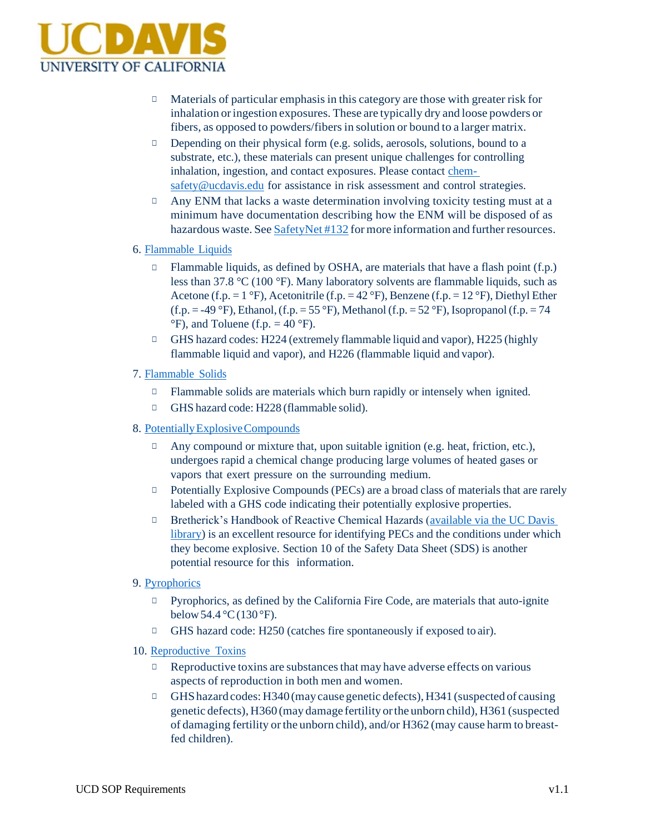

- □ Materials of particular emphasis in this category are those with greater risk for inhalation oringestion exposures. These are typically dry and loose powders or fibers, as opposed to powders/fibers in solution or bound to a larger matrix.
- □ Depending on their physical form (e.g. solids, aerosols, solutions, bound to a substrate, etc.), these materials can present unique challenges for controlling inhalation, ingestion, and contact exposures. Please contact chem[safety@ucdavis.edu](mailto:safety@ucdavis.edu) for assistance in risk assessment and control strategies.
- $\Box$  Any ENM that lacks a waste determination involving toxicity testing must at a minimum have documentation describing how the ENM will be disposed of as hazardous waste. See SafetyNet #132 for more information and further resources.

#### 6. Flammable Liquids

- $\Box$  Flammable liquids, as defined by OSHA, are materials that have a flash point (f.p.) less than 37.8 °C (100 °F). Many laboratory solvents are flammable liquids, such as Acetone (f.p.  $= 1 \text{ }^{\circ}\text{F}$ ), Acetonitrile (f.p.  $= 42 \text{ }^{\circ}\text{F}$ ), Benzene (f.p.  $= 12 \text{ }^{\circ}\text{F}$ ), Diethyl Ether (f.p. = -49 °F), Ethanol, (f.p. = 55 °F), Methanol (f.p. = 52 °F), Isopropanol (f.p. = 74  $\mathrm{^{\circ}F}$ ), and Toluene (f.p. = 40  $\mathrm{^{\circ}F}$ ).
- □ GHS hazard codes: H224 (extremely flammable liquid and vapor), H225 (highly flammable liquid and vapor), and H226 (flammable liquid and vapor).

#### 7. Flammable Solids

- □ Flammable solids are materials which burn rapidly or intensely when ignited.
- □ GHS hazard code: H228 (flammable solid).
- 8. PotentiallyExplosiveCompounds
	- □ Any compound or mixture that, upon suitable ignition (e.g. heat, friction, etc.), undergoes rapid a chemical change producing large volumes of heated gases or vapors that exert pressure on the surrounding medium.
	- □ Potentially Explosive Compounds (PECs) are a broad class of materials that are rarely labeled with a GHS code indicating their potentially explosive properties.
	- □ Bretherick's Handbook of Reactive Chemical Hazards (available via the UC Davis library) is an excellent resource for identifying PECs and the conditions under which they become explosive. Section 10 of the Safety Data Sheet (SDS) is another potential resource for this information.
- 9. Pyrophorics
	- □ Pyrophorics, as defined by the California Fire Code, are materials that auto-ignite below  $54.4 \degree C(130 \degree F)$ .
	- □ GHS hazard code: H250 (catches fire spontaneously if exposed to air).
- 10. Reproductive Toxins
	- $\Box$  Reproductive toxins are substances that may have adverse effects on various aspects of reproduction in both men and women.
	- $\Box$  GHS hazard codes: H340 (may cause genetic defects), H341 (suspected of causing genetic defects), H360 (may damage fertility orthe unborn child), H361 (suspected of damaging fertility orthe unborn child), and/or H362 (may cause harm to breastfed children).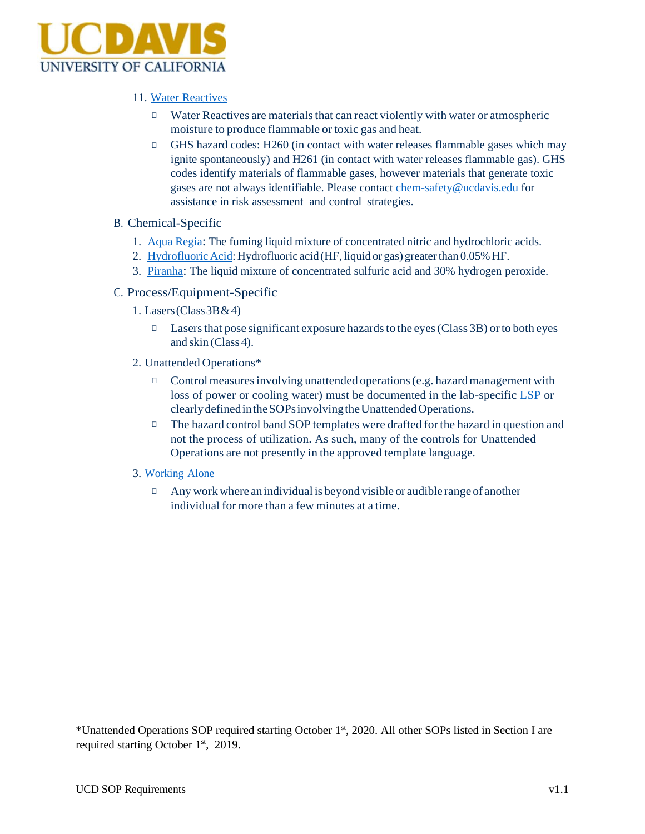

#### 11. Water Reactives

- □ Water Reactives are materials that can react violently with water or atmospheric moisture to produce flammable or toxic gas and heat.
- □ GHS hazard codes: H260 (in contact with water releases flammable gases which may ignite spontaneously) and H261 (in contact with water releases flammable gas). GHS codes identify materials of flammable gases, however materials that generate toxic gases are not always identifiable. Please contact [chem-safety@ucdavis.edu](mailto:chem-safety@ucdavis.edu) for assistance in risk assessment and control strategies.
- B. Chemical-Specific
	- 1. Aqua Regia: The fuming liquid mixture of concentrated nitric and hydrochloric acids.
	- 2. Hydrofluoric Acid: Hydrofluoric acid (HF, liquid or gas) greaterthan 0.05% HF.
	- 3. Piranha: The liquid mixture of concentrated sulfuric acid and 30% hydrogen peroxide.
- C. Process/Equipment-Specific
	- 1. Lasers (Class  $3B & 4$ )
		- □ Lasers that pose significant exposure hazards to the eyes (Class 3B) or to both eyes and skin (Class 4).
	- 2. Unattended Operations\*
		- $\Box$  Control measures involving unattended operations (e.g. hazard management with loss of power or cooling water) must be documented in the lab-specific LSP or clearly defined in the SOPs involving the Unattended Operations.
		- □ The hazard control band SOP templates were drafted for the hazard in question and not the process of utilization. As such, many of the controls for Unattended Operations are not presently in the approved template language.
	- 3. Working Alone
		- $\Box$  Any work where an individual is beyond visible or audible range of another individual for more than a few minutes at a time.

\*Unattended Operations SOP required starting October 1st, 2020. All other SOPs listed in Section I are required starting October 1<sup>st</sup>, 2019.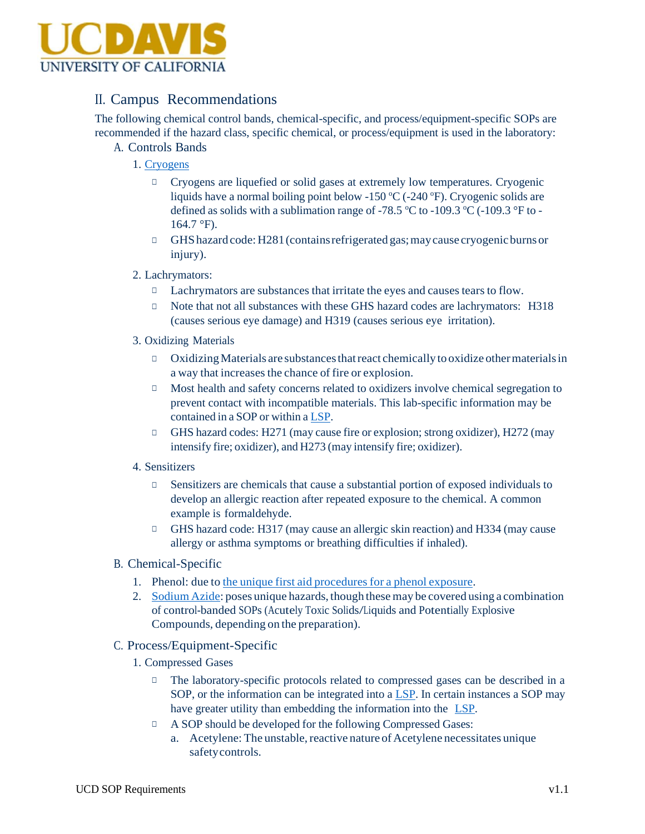

### II. Campus Recommendations

The following chemical control bands, chemical-specific, and process/equipment-specific SOPs are recommended if the hazard class, specific chemical, or process/equipment is used in the laboratory:

- A. Controls Bands
	- 1. Cryogens
		- □ Cryogens are liquefied or solid gases at extremely low temperatures. Cryogenic liquids have a normal boiling point below -150  $\degree$ C (-240  $\degree$ F). Cryogenic solids are defined as solids with a sublimation range of -78.5  $\degree$ C to -109.3  $\degree$ C (-109.3  $\degree$ F to - $164.7 \text{ }^{\circ}\text{F}$ ).
		- $\Box$  GHS hazard code: H281 (contains refrigerated gas; may cause cryogenic burns or injury).
	- 2. Lachrymators:
		- □ Lachrymators are substances that irritate the eyes and causes tears to flow.
		- □ Note that not all substances with these GHS hazard codes are lachrymators: H318 (causes serious eye damage) and H319 (causes serious eye irritation).
	- 3. Oxidizing Materials
		- □ OxidizingMaterials are substancesthatreact chemically to oxidize othermaterialsin a way that increases the chance of fire or explosion.
		- □ Most health and safety concerns related to oxidizers involve chemical segregation to prevent contact with incompatible materials. This lab-specific information may be contained in a SOP or within a LSP.
		- □ GHS hazard codes: H271 (may cause fire or explosion; strong oxidizer), H272 (may intensify fire; oxidizer), and H273 (may intensify fire; oxidizer).
	- 4. Sensitizers
		- $\Box$  Sensitizers are chemicals that cause a substantial portion of exposed individuals to develop an allergic reaction after repeated exposure to the chemical. A common example is formaldehyde.
		- □ GHS hazard code: H317 (may cause an allergic skin reaction) and H334 (may cause allergy or asthma symptoms or breathing difficulties if inhaled).
- B. Chemical-Specific
	- 1. Phenol: due to the unique first aid procedures for a phenol exposure.
	- 2. Sodium Azide: poses unique hazards, though thesemay be covered using a combination of control-banded SOPs (Acutely Toxic Solids/Liquids and Potentially Explosive Compounds, depending on the preparation).
- C. Process/Equipment-Specific
	- 1. Compressed Gases
		- □ The laboratory-specific protocols related to compressed gases can be described in a SOP, or the information can be integrated into a LSP. In certain instances a SOP may have greater utility than embedding the information into the LSP.
		- □ A SOP should be developed for the following Compressed Gases:
			- a. Acetylene: The unstable, reactive nature of Acetylene necessitates unique safetycontrols.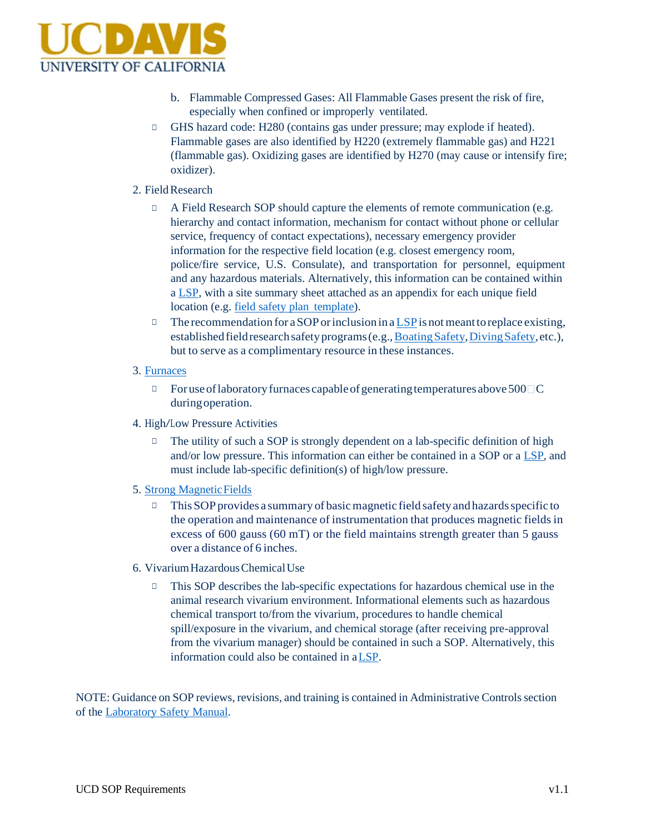

- b. Flammable Compressed Gases: All Flammable Gases present the risk of fire, especially when confined or improperly ventilated.
- □ GHS hazard code: H280 (contains gas under pressure; may explode if heated). Flammable gases are also identified by H220 (extremely flammable gas) and H221 (flammable gas). Oxidizing gases are identified by H270 (may cause or intensify fire; oxidizer).

#### 2. Field Research

- A Field Research SOP should capture the elements of remote communication (e.g. hierarchy and contact information, mechanism for contact without phone or cellular service, frequency of contact expectations), necessary emergency provider information for the respective field location (e.g. closest emergency room, police/fire service, U.S. Consulate), and transportation for personnel, equipment and any hazardous materials. Alternatively, this information can be contained within a LSP, with a site summary sheet attached as an appendix for each unique field location (e.g. field safety plan template).
- $\Box$  The recommendation for a SOP or inclusion in a LSP is not meant to replace existing, established field research safety programs (e.g., Boating Safety, Diving Safety, etc.), but to serve as a complimentary resource in these instances.
- 3. Furnaces
	- $\Box$  For use of laboratory furnaces capable of generating temperatures above 500  $\Box$ C during operation.
- 4. High/Low Pressure Activities
	- $\Box$  The utility of such a SOP is strongly dependent on a lab-specific definition of high and/or low pressure. This information can either be contained in a SOP or a LSP, and must include lab-specific definition(s) of high/low pressure.
- 5. Strong Magnetic Fields
	- $\Box$  This SOP provides a summary of basic magnetic field safety and hazards specific to the operation and maintenance of instrumentation that produces magnetic fields in excess of 600 gauss (60 mT) or the field maintains strength greater than 5 gauss over a distance of 6 inches.
- 6. VivariumHazardousChemicalUse
	- □ This SOP describes the lab-specific expectations for hazardous chemical use in the animal research vivarium environment. Informational elements such as hazardous chemical transport to/from the vivarium, procedures to handle chemical spill/exposure in the vivarium, and chemical storage (after receiving pre-approval from the vivarium manager) should be contained in such a SOP. Alternatively, this information could also be contained in aLSP.

NOTE: Guidance on SOP reviews, revisions, and training is contained in Administrative Controlssection of the Laboratory Safety Manual.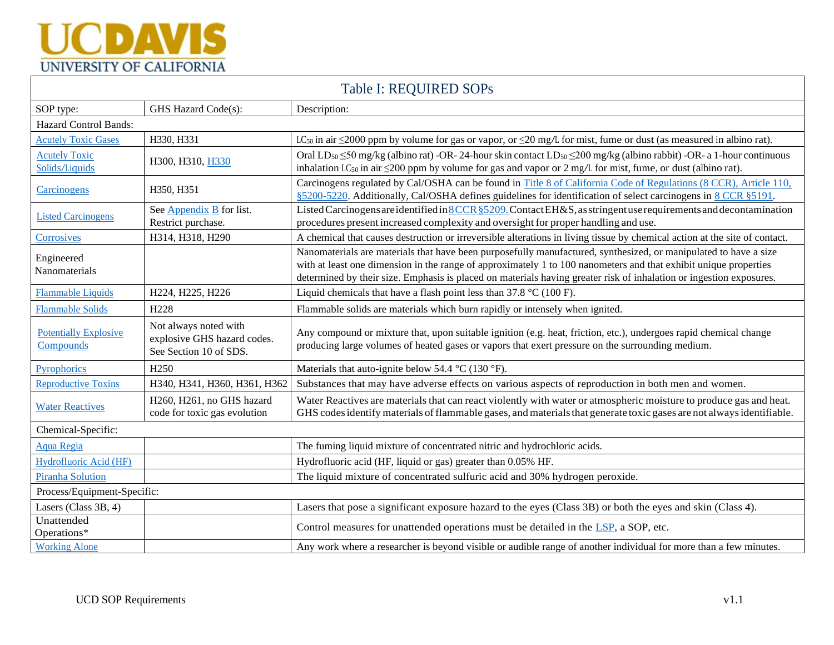# **UCDAVIS** UNIVERSITY OF CALIFORNIA

| Table I: REQUIRED SOPs                    |                                                                                |                                                                                                                                                                                                                                                                                                                                                             |  |  |  |  |
|-------------------------------------------|--------------------------------------------------------------------------------|-------------------------------------------------------------------------------------------------------------------------------------------------------------------------------------------------------------------------------------------------------------------------------------------------------------------------------------------------------------|--|--|--|--|
| SOP type:                                 | GHS Hazard Code(s):                                                            | Description:                                                                                                                                                                                                                                                                                                                                                |  |  |  |  |
| Hazard Control Bands:                     |                                                                                |                                                                                                                                                                                                                                                                                                                                                             |  |  |  |  |
| <b>Acutely Toxic Gases</b>                | H330, H331                                                                     | LC <sub>50</sub> in air $\leq$ 2000 ppm by volume for gas or vapor, or $\leq$ 20 mg/L for mist, fume or dust (as measured in albino rat).                                                                                                                                                                                                                   |  |  |  |  |
| <b>Acutely Toxic</b><br>Solids/Liquids    | H300, H310, H330                                                               | Oral LD <sub>50</sub> $\leq$ 50 mg/kg (albino rat) -OR- 24-hour skin contact LD <sub>50</sub> $\leq$ 200 mg/kg (albino rabbit) -OR- a 1-hour continuous<br>inhalation LC <sub>50</sub> in air $\leq$ 200 ppm by volume for gas and vapor or 2 mg/L for mist, fume, or dust (albino rat).                                                                    |  |  |  |  |
| Carcinogens                               | H350, H351                                                                     | Carcinogens regulated by Cal/OSHA can be found in Title 8 of California Code of Regulations (8 CCR), Article 110,<br>§5200-5220. Additionally, Cal/OSHA defines guidelines for identification of select carcinogens in 8 CCR §5191.                                                                                                                         |  |  |  |  |
| <b>Listed Carcinogens</b>                 | See $Appendix \underline{B}$ for list.<br>Restrict purchase.                   | Listed Carcinogens are identified in 8 CCR § 5209. Contact EH&S, as stringent use requirements and decontamination<br>procedures present increased complexity and oversight for proper handling and use.                                                                                                                                                    |  |  |  |  |
| Corrosives                                | H314, H318, H290                                                               | A chemical that causes destruction or irreversible alterations in living tissue by chemical action at the site of contact.                                                                                                                                                                                                                                  |  |  |  |  |
| Engineered<br>Nanomaterials               |                                                                                | Nanomaterials are materials that have been purposefully manufactured, synthesized, or manipulated to have a size<br>with at least one dimension in the range of approximately 1 to 100 nanometers and that exhibit unique properties<br>determined by their size. Emphasis is placed on materials having greater risk of inhalation or ingestion exposures. |  |  |  |  |
| <b>Flammable Liquids</b>                  | H224, H225, H226                                                               | Liquid chemicals that have a flash point less than $37.8 \text{ °C}$ (100 F).                                                                                                                                                                                                                                                                               |  |  |  |  |
| <b>Flammable Solids</b>                   | H <sub>228</sub>                                                               | Flammable solids are materials which burn rapidly or intensely when ignited.                                                                                                                                                                                                                                                                                |  |  |  |  |
| <b>Potentially Explosive</b><br>Compounds | Not always noted with<br>explosive GHS hazard codes.<br>See Section 10 of SDS. | Any compound or mixture that, upon suitable ignition (e.g. heat, friction, etc.), undergoes rapid chemical change<br>producing large volumes of heated gases or vapors that exert pressure on the surrounding medium.                                                                                                                                       |  |  |  |  |
| Pyrophorics                               | H <sub>250</sub>                                                               | Materials that auto-ignite below 54.4 $\rm{°C}$ (130 $\rm{°F}$ ).                                                                                                                                                                                                                                                                                           |  |  |  |  |
| <b>Reproductive Toxins</b>                | H340, H341, H360, H361, H362                                                   | Substances that may have adverse effects on various aspects of reproduction in both men and women.                                                                                                                                                                                                                                                          |  |  |  |  |
| <b>Water Reactives</b>                    | H260, H261, no GHS hazard<br>code for toxic gas evolution                      | Water Reactives are materials that can react violently with water or atmospheric moisture to produce gas and heat.<br>GHS codes identify materials of flammable gases, and materials that generate toxic gases are not always identifiable.                                                                                                                 |  |  |  |  |
| Chemical-Specific:                        |                                                                                |                                                                                                                                                                                                                                                                                                                                                             |  |  |  |  |
| <b>Aqua Regia</b>                         |                                                                                | The fuming liquid mixture of concentrated nitric and hydrochloric acids.                                                                                                                                                                                                                                                                                    |  |  |  |  |
| Hydrofluoric Acid (HF)                    |                                                                                | Hydrofluoric acid (HF, liquid or gas) greater than 0.05% HF.                                                                                                                                                                                                                                                                                                |  |  |  |  |
| <b>Piranha Solution</b>                   |                                                                                | The liquid mixture of concentrated sulfuric acid and 30% hydrogen peroxide.                                                                                                                                                                                                                                                                                 |  |  |  |  |
| Process/Equipment-Specific:               |                                                                                |                                                                                                                                                                                                                                                                                                                                                             |  |  |  |  |
| Lasers (Class 3B, 4)                      |                                                                                | Lasers that pose a significant exposure hazard to the eyes (Class 3B) or both the eyes and skin (Class 4).                                                                                                                                                                                                                                                  |  |  |  |  |
| Unattended<br>Operations*                 |                                                                                | Control measures for unattended operations must be detailed in the LSP, a SOP, etc.                                                                                                                                                                                                                                                                         |  |  |  |  |
| <b>Working Alone</b>                      |                                                                                | Any work where a researcher is beyond visible or audible range of another individual for more than a few minutes.                                                                                                                                                                                                                                           |  |  |  |  |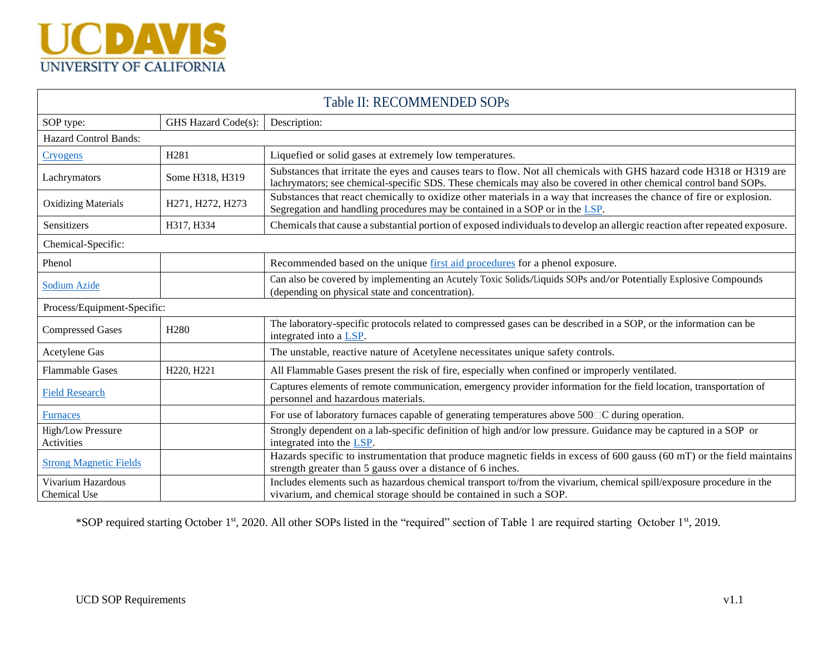

| Table II: RECOMMENDED SOPs         |                     |                                                                                                                                                                                                                                          |  |  |  |
|------------------------------------|---------------------|------------------------------------------------------------------------------------------------------------------------------------------------------------------------------------------------------------------------------------------|--|--|--|
| SOP type:                          | GHS Hazard Code(s): | Description:                                                                                                                                                                                                                             |  |  |  |
| <b>Hazard Control Bands:</b>       |                     |                                                                                                                                                                                                                                          |  |  |  |
| <b>Cryogens</b>                    | H <sub>281</sub>    | Liquefied or solid gases at extremely low temperatures.                                                                                                                                                                                  |  |  |  |
| Lachrymators                       | Some H318, H319     | Substances that irritate the eyes and causes tears to flow. Not all chemicals with GHS hazard code H318 or H319 are<br>lachrymators; see chemical-specific SDS. These chemicals may also be covered in other chemical control band SOPs. |  |  |  |
| <b>Oxidizing Materials</b>         | H271, H272, H273    | Substances that react chemically to oxidize other materials in a way that increases the chance of fire or explosion.<br>Segregation and handling procedures may be contained in a SOP or in the LSP.                                     |  |  |  |
| Sensitizers                        | H317, H334          | Chemicals that cause a substantial portion of exposed individuals to develop an allergic reaction after repeated exposure.                                                                                                               |  |  |  |
| Chemical-Specific:                 |                     |                                                                                                                                                                                                                                          |  |  |  |
| Phenol                             |                     | Recommended based on the unique first aid procedures for a phenol exposure.                                                                                                                                                              |  |  |  |
| <b>Sodium Azide</b>                |                     | Can also be covered by implementing an Acutely Toxic Solids/Liquids SOPs and/or Potentially Explosive Compounds<br>(depending on physical state and concentration).                                                                      |  |  |  |
| Process/Equipment-Specific:        |                     |                                                                                                                                                                                                                                          |  |  |  |
| <b>Compressed Gases</b>            | H <sub>280</sub>    | The laboratory-specific protocols related to compressed gases can be described in a SOP, or the information can be<br>integrated into a LSP.                                                                                             |  |  |  |
| Acetylene Gas                      |                     | The unstable, reactive nature of Acetylene necessitates unique safety controls.                                                                                                                                                          |  |  |  |
| <b>Flammable Gases</b>             | H220, H221          | All Flammable Gases present the risk of fire, especially when confined or improperly ventilated.                                                                                                                                         |  |  |  |
| <b>Field Research</b>              |                     | Captures elements of remote communication, emergency provider information for the field location, transportation of<br>personnel and hazardous materials.                                                                                |  |  |  |
| <b>Furnaces</b>                    |                     | For use of laboratory furnaces capable of generating temperatures above $500\degree\text{C}$ during operation.                                                                                                                           |  |  |  |
| High/Low Pressure<br>Activities    |                     | Strongly dependent on a lab-specific definition of high and/or low pressure. Guidance may be captured in a SOP or<br>integrated into the LSP.                                                                                            |  |  |  |
| <b>Strong Magnetic Fields</b>      |                     | Hazards specific to instrumentation that produce magnetic fields in excess of 600 gauss (60 mT) or the field maintains<br>strength greater than 5 gauss over a distance of 6 inches.                                                     |  |  |  |
| Vivarium Hazardous<br>Chemical Use |                     | Includes elements such as hazardous chemical transport to/from the vivarium, chemical spill/exposure procedure in the<br>vivarium, and chemical storage should be contained in such a SOP.                                               |  |  |  |

\*SOP required starting October 1st, 2020. All other SOPs listed in the "required" section of Table 1 are required starting October 1st, 2019.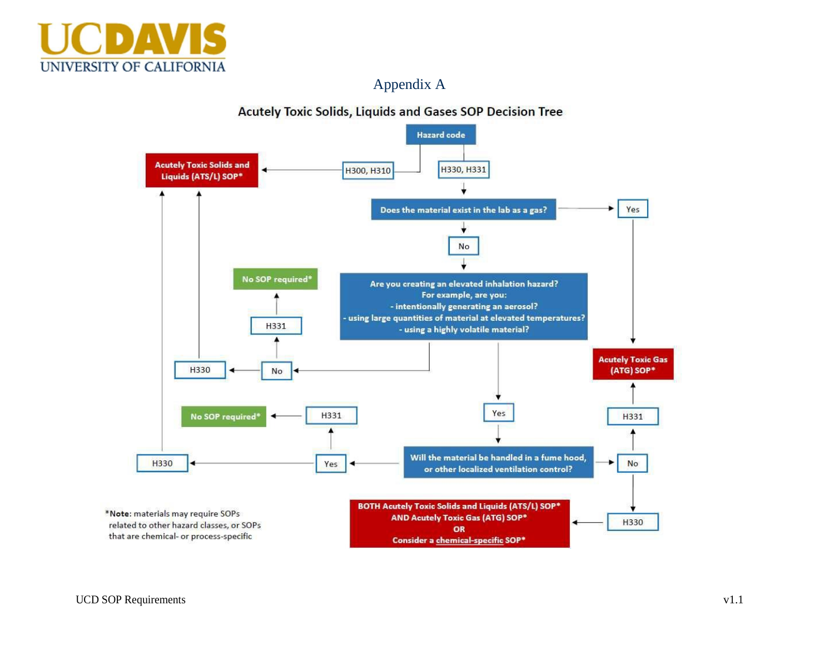

## Appendix A